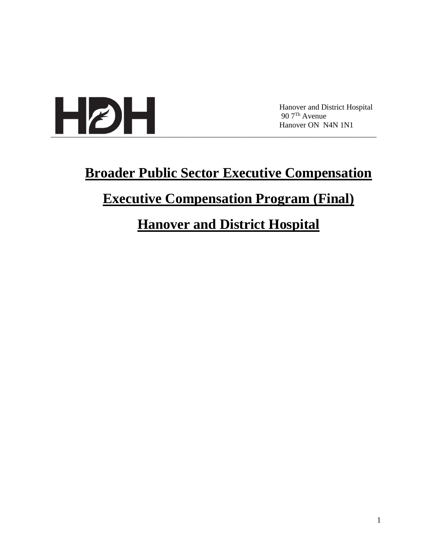

Hanover and District Hospital 90 7Th Avenue Hanover ON N4N 1N1

# **Broader Public Sector Executive Compensation Executive Compensation Program (Final)**

# **Hanover and District Hospital**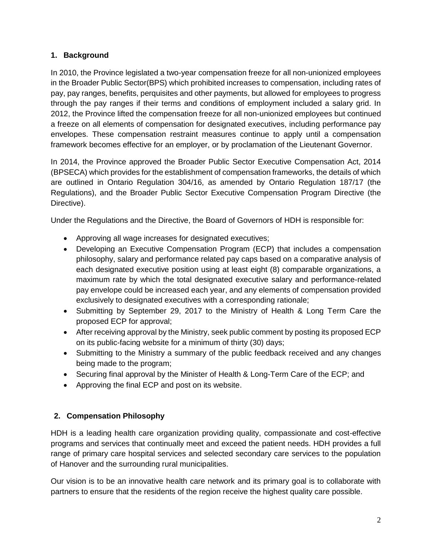### **1. Background**

In 2010, the Province legislated a two-year compensation freeze for all non-unionized employees in the Broader Public Sector(BPS) which prohibited increases to compensation, including rates of pay, pay ranges, benefits, perquisites and other payments, but allowed for employees to progress through the pay ranges if their terms and conditions of employment included a salary grid. In 2012, the Province lifted the compensation freeze for all non-unionized employees but continued a freeze on all elements of compensation for designated executives, including performance pay envelopes. These compensation restraint measures continue to apply until a compensation framework becomes effective for an employer, or by proclamation of the Lieutenant Governor.

In 2014, the Province approved the Broader Public Sector Executive Compensation Act, 2014 (BPSECA) which provides for the establishment of compensation frameworks, the details of which are outlined in Ontario Regulation 304/16, as amended by Ontario Regulation 187/17 (the Regulations), and the Broader Public Sector Executive Compensation Program Directive (the Directive).

Under the Regulations and the Directive, the Board of Governors of HDH is responsible for:

- Approving all wage increases for designated executives;
- Developing an Executive Compensation Program (ECP) that includes a compensation philosophy, salary and performance related pay caps based on a comparative analysis of each designated executive position using at least eight (8) comparable organizations, a maximum rate by which the total designated executive salary and performance-related pay envelope could be increased each year, and any elements of compensation provided exclusively to designated executives with a corresponding rationale;
- Submitting by September 29, 2017 to the Ministry of Health & Long Term Care the proposed ECP for approval;
- After receiving approval by the Ministry, seek public comment by posting its proposed ECP on its public-facing website for a minimum of thirty (30) days;
- Submitting to the Ministry a summary of the public feedback received and any changes being made to the program;
- Securing final approval by the Minister of Health & Long-Term Care of the ECP; and
- Approving the final ECP and post on its website.

## **2. Compensation Philosophy**

HDH is a leading health care organization providing quality, compassionate and cost-effective programs and services that continually meet and exceed the patient needs. HDH provides a full range of primary care hospital services and selected secondary care services to the population of Hanover and the surrounding rural municipalities.

Our vision is to be an innovative health care network and its primary goal is to collaborate with partners to ensure that the residents of the region receive the highest quality care possible.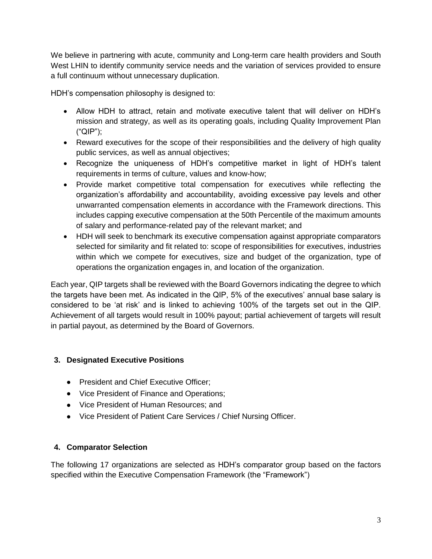We believe in partnering with acute, community and Long-term care health providers and South West LHIN to identify community service needs and the variation of services provided to ensure a full continuum without unnecessary duplication.

HDH's compensation philosophy is designed to:

- Allow HDH to attract, retain and motivate executive talent that will deliver on HDH's mission and strategy, as well as its operating goals, including Quality Improvement Plan ("QIP");
- Reward executives for the scope of their responsibilities and the delivery of high quality public services, as well as annual objectives;
- Recognize the uniqueness of HDH's competitive market in light of HDH's talent requirements in terms of culture, values and know-how;
- Provide market competitive total compensation for executives while reflecting the organization's affordability and accountability, avoiding excessive pay levels and other unwarranted compensation elements in accordance with the Framework directions. This includes capping executive compensation at the 50th Percentile of the maximum amounts of salary and performance-related pay of the relevant market; and
- HDH will seek to benchmark its executive compensation against appropriate comparators selected for similarity and fit related to: scope of responsibilities for executives, industries within which we compete for executives, size and budget of the organization, type of operations the organization engages in, and location of the organization.

Each year, QIP targets shall be reviewed with the Board Governors indicating the degree to which the targets have been met. As indicated in the QIP, 5% of the executives' annual base salary is considered to be 'at risk' and is linked to achieving 100% of the targets set out in the QIP. Achievement of all targets would result in 100% payout; partial achievement of targets will result in partial payout, as determined by the Board of Governors.

#### **3. Designated Executive Positions**

- President and Chief Executive Officer:
- Vice President of Finance and Operations:
- Vice President of Human Resources; and
- Vice President of Patient Care Services / Chief Nursing Officer.

#### **4. Comparator Selection**

The following 17 organizations are selected as HDH's comparator group based on the factors specified within the Executive Compensation Framework (the "Framework")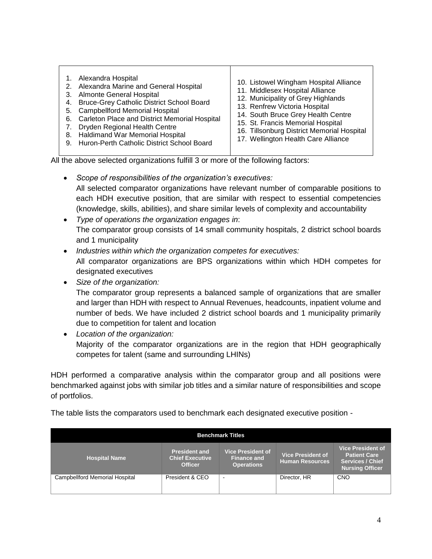1. Alexandra Hospital 2. Alexandra Marine and General Hospital 3. Almonte General Hospital 4. Bruce-Grey Catholic District School Board 5. Campbellford Memorial Hospital 6. Carleton Place and District Memorial Hospital 7. Dryden Regional Health Centre 8. Haldimand War Memorial Hospital 9. Huron-Perth Catholic District School Board 10. Listowel Wingham Hospital Alliance 11. Middlesex Hospital Alliance 12. Municipality of Grey Highlands 13. Renfrew Victoria Hospital 14. South Bruce Grey Health Centre 15. St. Francis Memorial Hospital 16. Tillsonburg District Memorial Hospital 17. Wellington Health Care Alliance

All the above selected organizations fulfill 3 or more of the following factors:

*Scope of responsibilities of the organization's executives:*

All selected comparator organizations have relevant number of comparable positions to each HDH executive position, that are similar with respect to essential competencies (knowledge, skills, abilities), and share similar levels of complexity and accountability

- *Type of operations the organization engages in*: The comparator group consists of 14 small community hospitals, 2 district school boards and 1 municipality
- *Industries within which the organization competes for executives:* All comparator organizations are BPS organizations within which HDH competes for designated executives
- *Size of the organization:*

The comparator group represents a balanced sample of organizations that are smaller and larger than HDH with respect to Annual Revenues, headcounts, inpatient volume and number of beds. We have included 2 district school boards and 1 municipality primarily due to competition for talent and location

 *Location of the organization:* Majority of the comparator organizations are in the region that HDH geographically competes for talent (same and surrounding LHINs)

HDH performed a comparative analysis within the comparator group and all positions were benchmarked against jobs with similar job titles and a similar nature of responsibilities and scope of portfolios.

The table lists the comparators used to benchmark each designated executive position -

| <b>Benchmark Titles</b>        |                                                                  |                                                                     |                                                    |                                                                                               |  |  |
|--------------------------------|------------------------------------------------------------------|---------------------------------------------------------------------|----------------------------------------------------|-----------------------------------------------------------------------------------------------|--|--|
| <b>Hospital Name</b>           | <b>President and</b><br><b>Chief Executive</b><br><b>Officer</b> | <b>Vice President of</b><br><b>Finance and</b><br><b>Operations</b> | <b>Vice President of</b><br><b>Human Resources</b> | <b>Vice President of</b><br><b>Patient Care</b><br><b>Services / Chief</b><br>Nursing Officer |  |  |
| Campbellford Memorial Hospital | President & CEO                                                  |                                                                     | Director, HR                                       | CNO                                                                                           |  |  |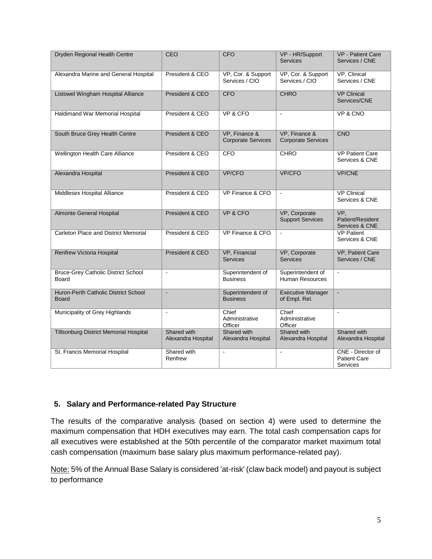| Dryden Regional Health Centre                        | CEO                               | <b>CFO</b>                                 | VP - HR/Support<br><b>Services</b>          | <b>VP</b> - Patient Care<br>Services / CNE           |
|------------------------------------------------------|-----------------------------------|--------------------------------------------|---------------------------------------------|------------------------------------------------------|
| Alexandra Marine and General Hospital                | President & CEO                   | VP, Cor. & Support<br>Services / CIO       | VP, Cor. & Support<br>Services / CIO        | VP, Clinical<br>Services / CNE                       |
| Listowel Wingham Hospital Alliance                   | President & CEO                   | <b>CFO</b>                                 | <b>CHRO</b>                                 | <b>VP Clinical</b><br>Services/CNE                   |
| <b>Haldimand War Memorial Hospital</b>               | President & CEO                   | VP & CFO                                   | $\blacksquare$                              | VP & CNO                                             |
| South Bruce Grey Health Centre                       | President & CEO                   | VP, Finance &<br><b>Corporate Services</b> | VP, Finance &<br><b>Corporate Services</b>  | CNO                                                  |
| Wellington Health Care Alliance                      | President & CEO                   | <b>CFO</b>                                 | <b>CHRO</b>                                 | <b>VP Patient Care</b><br>Services & CNE             |
| Alexandra Hospital                                   | President & CEO                   | VP/CFO                                     | <b>VP/CFO</b>                               | <b>VP/CNE</b>                                        |
| Middlesex Hospital Alliance                          | President & CEO                   | VP Finance & CFO                           | $\blacksquare$                              | <b>VP Clinical</b><br>Services & CNE                 |
| Almonte General Hospital                             | President & CEO                   | VP & CFO                                   | VP, Corporate<br><b>Support Services</b>    | VP,<br>Patient/Resident<br>Services & CNE            |
| <b>Carleton Place and District Memorial</b>          | President & CEO                   | VP Finance & CFO                           | $\blacksquare$                              | <b>VP Patient</b><br>Services & CNE                  |
| <b>Renfrew Victoria Hospital</b>                     | President & CEO                   | VP, Financial<br><b>Services</b>           | VP, Corporate<br>Services                   | VP, Patient Care<br>Services / CNE                   |
| <b>Bruce-Grey Catholic District School</b><br>Board  | $\Box$                            | Superintendent of<br><b>Business</b>       | Superintendent of<br><b>Human Resources</b> | $\overline{\phantom{a}}$                             |
| Huron-Perth Catholic District School<br><b>Board</b> | $\blacksquare$                    | Superintendent of<br><b>Business</b>       | <b>Executive Manager</b><br>of Empl. Rel.   | $\blacksquare$                                       |
| Municipality of Grey Highlands                       | $\blacksquare$                    | Chief<br>Administrative<br>Officer         | Chief<br>Administrative<br>Officer          | $\blacksquare$                                       |
| Tillsonburg District Memorial Hospital               | Shared with<br>Alexandra Hospital | Shared with<br>Alexandra Hospital          | Shared with<br>Alexandra Hospital           | Shared with<br>Alexandra Hospital                    |
| St. Francis Memorial Hospital                        | Shared with<br>Renfrew            | $\Box$                                     | $\overline{a}$                              | CNE - Director of<br><b>Patient Care</b><br>Services |

#### **5. Salary and Performance-related Pay Structure**

The results of the comparative analysis (based on section 4) were used to determine the maximum compensation that HDH executives may earn. The total cash compensation caps for all executives were established at the 50th percentile of the comparator market maximum total cash compensation (maximum base salary plus maximum performance-related pay).

Note: 5% of the Annual Base Salary is considered 'at-risk' (claw back model) and payout is subject to performance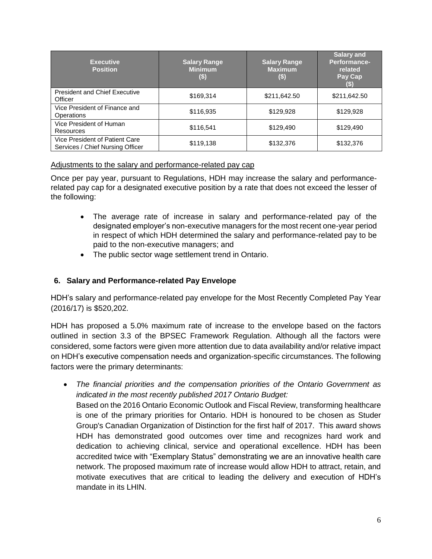| <b>Executive</b><br><b>Position</b>                                | <b>Salary Range</b><br><b>Minimum</b><br>$($)$ | <b>Salary Range</b><br><b>Maximum</b><br>$($)$ | <b>Salary and</b><br>Performance-<br>related<br>Pay Cap |
|--------------------------------------------------------------------|------------------------------------------------|------------------------------------------------|---------------------------------------------------------|
| <b>President and Chief Executive</b><br>Officer                    | \$169,314                                      | \$211,642.50                                   | \$211,642.50                                            |
| Vice President of Finance and<br>Operations                        | \$116,935                                      | \$129,928                                      | \$129,928                                               |
| Vice President of Human<br>Resources                               | \$116,541                                      | \$129,490                                      | \$129,490                                               |
| Vice President of Patient Care<br>Services / Chief Nursing Officer | \$119,138                                      | \$132,376                                      | \$132,376                                               |

#### Adjustments to the salary and performance-related pay cap

Once per pay year, pursuant to Regulations, HDH may increase the salary and performancerelated pay cap for a designated executive position by a rate that does not exceed the lesser of the following:

- The average rate of increase in salary and performance-related pay of the designated employer's non-executive managers for the most recent one-year period in respect of which HDH determined the salary and performance-related pay to be paid to the non-executive managers; and
- The public sector wage settlement trend in Ontario.

#### **6. Salary and Performance-related Pay Envelope**

HDH's salary and performance-related pay envelope for the Most Recently Completed Pay Year (2016/17) is \$520,202.

HDH has proposed a 5.0% maximum rate of increase to the envelope based on the factors outlined in section 3.3 of the BPSEC Framework Regulation. Although all the factors were considered, some factors were given more attention due to data availability and/or relative impact on HDH's executive compensation needs and organization-specific circumstances. The following factors were the primary determinants:

 *The financial priorities and the compensation priorities of the Ontario Government as indicated in the most recently published 2017 Ontario Budget:* Based on the 2016 Ontario Economic Outlook and Fiscal Review, transforming healthcare is one of the primary priorities for Ontario. HDH is honoured to be chosen as Studer Group's Canadian Organization of Distinction for the first half of 2017. This award shows HDH has demonstrated good outcomes over time and recognizes hard work and dedication to achieving clinical, service and operational excellence. HDH has been accredited twice with "Exemplary Status" demonstrating we are an innovative health care network. The proposed maximum rate of increase would allow HDH to attract, retain, and motivate executives that are critical to leading the delivery and execution of HDH's mandate in its LHIN.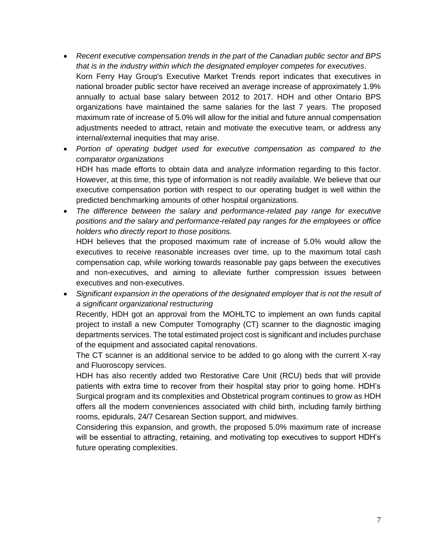- *Recent executive compensation trends in the part of the Canadian public sector and BPS that is in the industry within which the designated employer competes for executives*. Korn Ferry Hay Group's Executive Market Trends report indicates that executives in national broader public sector have received an average increase of approximately 1.9% annually to actual base salary between 2012 to 2017. HDH and other Ontario BPS organizations have maintained the same salaries for the last 7 years. The proposed maximum rate of increase of 5.0% will allow for the initial and future annual compensation adjustments needed to attract, retain and motivate the executive team, or address any internal/external inequities that may arise.
- Portion of operating budget used for executive compensation as compared to the *comparator organizations* HDH has made efforts to obtain data and analyze information regarding to this factor. However, at this time, this type of information is not readily available. We believe that our executive compensation portion with respect to our operating budget is well within the predicted benchmarking amounts of other hospital organizations.
- *The difference between the salary and performance-related pay range for executive positions and the salary and performance-related pay ranges for the employees or office holders who directly report to those positions.*

HDH believes that the proposed maximum rate of increase of 5.0% would allow the executives to receive reasonable increases over time, up to the maximum total cash compensation cap, while working towards reasonable pay gaps between the executives and non-executives, and aiming to alleviate further compression issues between executives and non-executives.

 *Significant expansion in the operations of the designated employer that is not the result of a significant organizational restructuring*

Recently, HDH got an approval from the MOHLTC to implement an own funds capital project to install a new Computer Tomography (CT) scanner to the diagnostic imaging departments services. The total estimated project cost is significant and includes purchase of the equipment and associated capital renovations.

The CT scanner is an additional service to be added to go along with the current X-ray and Fluoroscopy services.

HDH has also recently added two Restorative Care Unit (RCU) beds that will provide patients with extra time to recover from their hospital stay prior to going home. HDH's Surgical program and its complexities and Obstetrical program continues to grow as HDH offers all the modern conveniences associated with child birth, including family birthing rooms, epidurals, 24/7 Cesarean Section support, and midwives.

Considering this expansion, and growth, the proposed 5.0% maximum rate of increase will be essential to attracting, retaining, and motivating top executives to support HDH's future operating complexities.